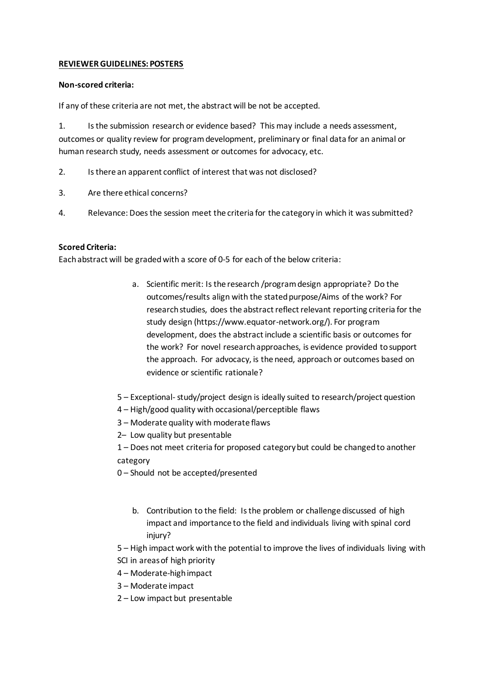## **REVIEWER GUIDELINES: POSTERS**

## **Non-scored criteria:**

If any of these criteria are not met, the abstract will be not be accepted.

1. Is the submission research or evidence based? This may include a needs assessment, outcomes or quality review for program development, preliminary or final data for an animal or human research study, needs assessment or outcomes for advocacy, etc.

- 2. Is there an apparent conflict of interest that was not disclosed?
- 3. Are there ethical concerns?
- 4. Relevance: Does the session meet the criteria for the category in which it was submitted?

## **Scored Criteria:**

Each abstract will be graded with a score of 0-5 for each of the below criteria:

- a. Scientific merit: Is the research /program design appropriate? Do the outcomes/results align with the stated purpose/Aims of the work? For research studies, does the abstract reflect relevant reporting criteria for the study design (https://www.equator-network.org/). For program development, does the abstract include a scientific basis or outcomes for the work? For novel research approaches, is evidence provided to support the approach. For advocacy, is the need, approach or outcomes based on evidence or scientific rationale?
- 5 Exceptional- study/project design is ideally suited to research/project question
- 4 High/good quality with occasional/perceptible flaws
- 3 Moderate quality with moderate flaws
- 2– Low quality but presentable
- 1 Does not meet criteria for proposed category but could be changed to another category
- 0 Should not be accepted/presented
	- b. Contribution to the field: Is the problem or challenge discussed of high impact and importance to the field and individuals living with spinal cord injury?

5 – High impact work with the potential to improve the lives of individuals living with SCI in areas of high priority

- 4 Moderate-high impact
- 3 Moderate impact
- 2 Low impact but presentable